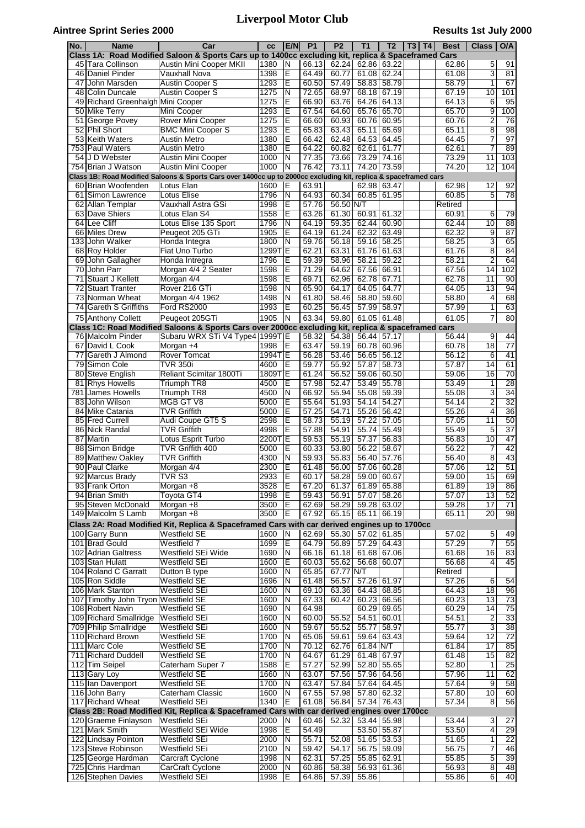## **Aintree Sprint Series 2000**

# **Liverpool Motor Club**

## **Results 1st July 2000**

| No.             | Name                                             | Car                                                                                                              | cc             | E/N                     | P <sub>1</sub> | P <sub>2</sub> | <b>T1</b>                  | T <sub>2</sub>       | $T3$ T4 | <b>Best</b>      | <b>Class</b>        | O/A                   |
|-----------------|--------------------------------------------------|------------------------------------------------------------------------------------------------------------------|----------------|-------------------------|----------------|----------------|----------------------------|----------------------|---------|------------------|---------------------|-----------------------|
|                 |                                                  | Class 1A: Road Modified Saloon & Sports Cars up to 1400cc excluding kit, replica & Spaceframed Cars              |                |                         |                |                |                            |                      |         |                  |                     |                       |
| 46              | 45 Tara Collinson<br>Daniel Pinder               | Austin Mini Cooper MKII<br>Vauxhall Nova                                                                         | 1380<br>1398   | N<br>Ε                  | 66.13<br>64.49 | 62.24<br>60.77 | 62.86<br>61.08             | 63.22<br>62.24       |         | 62.86<br>61.08   | 5<br>3              | 91<br>81              |
| 47              | John Marsden                                     | <b>Austin Cooper S</b>                                                                                           | 1293           | Е                       | 60.50          | 57.49          | 58.83                      | 58.79                |         | 58.79            | 1                   | 67                    |
|                 | 48 Colin Duncale                                 | <b>Austin Cooper S</b>                                                                                           | 1275           | N                       | 72.65          | 68.97          | 68.18                      | 67.19                |         | 67.19            | 10                  | 101                   |
|                 | 49 Richard Greenhalgh Mini Cooper                |                                                                                                                  | 1275           | E                       | 66.90          | 63.76          | 64.26                      | 64.13                |         | 64.13            | 6                   | 95                    |
| $\overline{50}$ | lMike Terrv                                      | Mini Cooper                                                                                                      | 1293           | Έ                       | 67.54          | 64.60          | 65.76                      | 65.70                |         | 65.70            | 9                   | 100                   |
| 51              | George Povey                                     | Rover Mini Cooper                                                                                                | 1275           | Έ                       | 66.60          | 60.93          | 60.76                      | 60.95                |         | 60.76            | $\overline{2}$      | 76                    |
| 52              | Phil Short                                       | <b>BMC Mini Cooper S</b>                                                                                         | 1293           | E                       | 65.83          | 63.43          | 65.11                      | 65.69                |         | 65.11            | 8                   | 98                    |
| 753             | 53 Keith Waters<br><b>Paul Waters</b>            | Austin Metro<br>Austin Metro                                                                                     | 1380<br>1380   | E<br>E                  | 66.42<br>64.22 | 62.48<br>60.82 | 64.53<br>62.61             | 64.45<br>61.77       |         | 64.45<br>62.61   | 7<br>7              | $\overline{97}$<br>89 |
|                 | 54 J D Webster                                   | Austin Mini Cooper                                                                                               | 1000           | N                       | 77.35          | 73.66          | 73.29                      | 74.16                |         | 73.29            | 11                  | 103                   |
|                 | 754 Brian J Watson                               | <b>Austin Mini Cooper</b>                                                                                        | 1000           | $\overline{\mathsf{N}}$ | 76.42          | 73.11          | 74.20                      | 73.59                |         | 74.20            | $\overline{12}$     | 104                   |
|                 |                                                  | Class 1B: Road Modified Saloons & Sports Cars over 1400cc up to 2000cc excluding kit, replica & spaceframed cars |                |                         |                |                |                            |                      |         |                  |                     |                       |
|                 | 60 Brian Woofenden                               | Lotus Elan                                                                                                       | 1600           | Е                       | 63.91          |                | 62.98                      | 63.47                |         | 62.98            | 12                  | 92                    |
| 61              | Simon Lawrence                                   | Lotus Elise                                                                                                      | 1796<br>1998   | N<br>E                  | 64.93<br>57.76 | 60.34<br>56.50 | 60.85                      | 61.95                |         | 60.85            | 5                   | 78                    |
| 62              | Allan Templar<br>63 Dave Shiers                  | Vauxhall Astra GSi<br>Lotus Elan S4                                                                              | 1558           | E                       | 63.26          | 61.30          | N/T<br>60.91               | 61.32                |         | Retired<br>60.91 | 6                   | 79                    |
|                 | 64 Lee Cliff                                     | Lotus Elise 135 Sport                                                                                            | 1796           | N                       | 64.19          | 59.35          | 62.44                      | 60.90                |         | 62.44            | 10                  | 88                    |
|                 | 66 Miles Drew                                    | Peugeot 205 GTi                                                                                                  | 1905           | Ē                       | 64.19          | 61.24          | 62.32                      | 63.49                |         | 62.32            | 9                   | 87                    |
| 133             | John Walker                                      | Honda Integra                                                                                                    | 1800           | N                       | 59.76          | 56.18          | 59.16                      | 58.25                |         | 58.25            | 3                   | 65                    |
|                 | 68 Roy Holder                                    | Fiat Uno Turbo                                                                                                   | 1299T          | E                       | 62.21          | 63.31          | 61.76                      | 61.63                |         | 61.76            | 8                   | 84                    |
|                 | 69 John Gallagher                                | Honda Intregra                                                                                                   | 1796           | E                       | 59.39          | 58.96          | 58.21                      | 59.22                |         | 58.21            | $\overline{2}$      | 64                    |
| 70<br>71        | John Parr                                        | Morgan 4/4 2 Seater                                                                                              | 1598<br>1598   | E<br>E                  | 71.29          | 64.62          | 67.56                      | 66.91                |         | 67.56            | 14<br>11            | 102<br>90             |
| $\overline{72}$ | <b>Stuart J Kellett</b><br><b>Stuart Tranter</b> | Morgan 4/4<br>Rover 216 GTi                                                                                      | 1598           | N                       | 69.71<br>65.90 | 62.96<br>64.17 | 62.78<br>64.05             | 67.71<br>64.77       |         | 62.78<br>64.05   | 13                  | 94                    |
|                 | 73 Norman Wheat                                  | Morgan 4/4 1962                                                                                                  | 1498           | N                       | 61.80          | 58.46          | 58.80                      | 59.60                |         | 58.80            | 4                   | 68                    |
|                 | 74 Gareth S Griffiths                            | Ford RS2000                                                                                                      | 1993           | E                       | 60.25          | 56.45          | 57.99                      | 58.97                |         | 57.99            | 1                   | 63                    |
|                 | 75 Anthony Collett                               | Peugeot 205GTi                                                                                                   | 1905           | N                       | 63.34          | 59.80          | 61.05                      | 61.48                |         | 61.05            | $\overline{7}$      | 80                    |
|                 |                                                  | Class 1C: Road Modified Saloons & Sports Cars over 2000cc excluding kit, replica & spaceframed cars              |                |                         |                |                |                            |                      |         |                  |                     |                       |
|                 | 76 Malcolm Pinder                                | Subaru WRX STi V4 Type4   1999T E                                                                                |                |                         | 58.32          | 54.38          |                            | 56.44 57.17          |         | 56.44            | 9                   | 44                    |
|                 | 67 David L Cook                                  | Morgan +4                                                                                                        | 1998           | Ε                       | 63.47          | 59.19          | 60.78                      | 60.96                |         | 60.78            | $\overline{18}$     | $\overline{77}$       |
| 77              | Gareth J Almond                                  | <b>Rover Tomcat</b><br><b>TVR 350i</b>                                                                           | 1994T          | Ε                       | 56.28          | 53.46          | 56.65                      | 56.12                |         | 56.12            | 6<br>14             | 41<br>61              |
| 79<br>80        | Simon Cole<br><b>Steve English</b>               | Reliant Scimitar 1800Ti                                                                                          | 4600<br>1809TE | E                       | 59.77<br>61.24 | 55.92<br>56.52 | 57.87<br>59.06             | 58.73<br>60.50       |         | 57.87<br>59.06   | 16                  | 70                    |
| 81              | <b>Rhys Howells</b>                              | Triumph TR8                                                                                                      | 4500           | E                       | 57.98          | 52.47          | 53.49                      | 55.78                |         | 53.49            | 1                   | $\overline{28}$       |
| 781             | James Howells                                    | Triumph TR8                                                                                                      | 4500           | N                       | 66.92          | 55.94          | 55.08                      | 59.39                |         | 55.08            | 3                   | 34                    |
| 83              | John Wilson                                      | MGB GT V8                                                                                                        | 5000           | Ε                       | 55.64          | 51.93          | 54.14                      | 54.27                |         | 54.14            | $\overline{2}$      | 32                    |
|                 | 84 Mike Catania                                  | TVR Griffith                                                                                                     | 5000           | Ε                       | 57.25          | 54.71          | 55.26                      | 56.42                |         | 55.26            | 4                   | $\overline{36}$       |
| 85              | Fred Currell                                     | Audi Coupe GT5 S                                                                                                 | 2598           | E                       | 58.73          | 55.19          | 57.22                      | 57.05                |         | 57.05            | 11                  | 50                    |
| 86              | Nick Randal                                      | TVR Griffith                                                                                                     | 4998           | E                       | 57.88          | 54.91          | 55.74                      | 55.49                |         | 55.49            | 5                   | $\overline{37}$       |
| 87<br>88        | Martin                                           | Lotus Esprit Turbo<br>TVR Griffith 400                                                                           | 2200T<br>5000  | E<br>E                  | 59.53<br>60.33 | 55.19<br>53.80 | 57.37<br>56.22             | 56.83<br>58.67       |         | 56.83<br>56.22   | 10<br>7             | 47<br>42              |
|                 | Simon Bridge<br>89 Matthew Oakley                | <b>TVR Griffith</b>                                                                                              | 4300           | N                       | 59.93          | 55.83          | 56.40                      | 57.76                |         | 56.40            | 8                   | 43                    |
|                 | 90 Paul Clarke                                   | Morgan 4/4                                                                                                       | 2300           | Ε                       | 61.48          | 56.00          | 57.06                      | 60.28                |         | 57.06            | 12                  | 51                    |
|                 | 92 Marcus Brady                                  | TVR <sub>S3</sub>                                                                                                | 2933           | Ē                       | 60.17          | 58.28          | 59.00                      | 60.67                |         | 59.00            | $\overline{15}$     | 69                    |
|                 | 93 Frank Orton                                   | Morgan +8                                                                                                        | 3528           | Ε                       | 67.20          | 61.37          |                            | 61.89 65.88          |         | 61.89            | 19                  | 86                    |
|                 | 94 Brian Smith                                   | Toyota GT4                                                                                                       | 1998           | E                       | 59.43          | 56.91          | 57.07                      | 58.26                |         | 57.07            | $\overline{13}$     | 52                    |
|                 | 95 Steven McDonald                               | Morgan +8                                                                                                        | 3500           | Ε                       | 62.69          | 58.29          | 59.28                      | 63.02                |         | 59.28            | 17                  | $\overline{71}$       |
|                 | 149 Malcolm S Lamb                               | Morgan +8                                                                                                        | 3500           | Е                       | 67.92          | 65.15          | 65.11                      | 66.19                |         | 65.11            | $\overline{20}$     | 98                    |
|                 |                                                  | Class 2A: Road Modified Kit, Replica & Spaceframed Cars with car derived engines up to 1700cc                    |                |                         |                |                |                            |                      |         |                  |                     |                       |
|                 | 100 Garry Bunn<br>101 Brad Gould                 | <b>Westfield SE</b><br>Westfield 7                                                                               | 1600<br>1699   | N<br>E                  | 62.69<br>64.79 | 56.89          | 55.30 57.02 61.85<br>57.29 | 64.43                |         | 57.02<br>57.29   | 5<br>7              | 49<br>55              |
|                 | 102 Adrian Galtress                              | Westfield SEi Wide                                                                                               | 1690           | N                       | 66.16          | 61.18          |                            | 61.68 67.06          |         | 61.68            | 16                  | 83                    |
|                 | 103 Stan Hulatt                                  | Westfield SEi                                                                                                    | 1600           | Ε                       | 60.03          | 55.62          | 56.68                      | 60.07                |         | 56.68            | 4                   | 45                    |
|                 | 104 Roland C Garratt                             | Dutton B type                                                                                                    | 1600           | N                       | 65.85          | 67.77          | N/T                        |                      |         | Retired          |                     |                       |
|                 | 105 Ron Siddle                                   | <b>Westfield SE</b>                                                                                              | 1696           | N                       | 61.48          | 56.57          | 57.26                      | 61.97                |         | 57.26            | 6                   | 54                    |
|                 | 106 Mark Stanton                                 | Westfield SEi                                                                                                    | 1600           | N                       | 69.10          | 63.36          | 64.43                      | 68.85                |         | 64.43            | 18                  | 96                    |
|                 | 107 Timothy John Tryon Westfield SE              |                                                                                                                  | 1600           | N                       | 67.33          | 60.42          | 60.23                      | 66.56                |         | 60.23            | 13                  | $\overline{73}$       |
|                 | 108 Robert Navin<br>109 Richard Smallridge       | Westfield SE<br>Westfield SEi                                                                                    | 1690<br>1600   | N<br>N                  | 64.98<br>60.00 | 55.52          | 60.29<br>54.51             | 69.65<br>60.01       |         | 60.29<br>54.51   | 14<br>2             | 75<br>33              |
|                 | 709 Philip Smallridge                            | Westfield SEi                                                                                                    | 1600           | N                       | 59.67          | 55.52          | 55.77                      | 58.97                |         | 55.77            | 3                   | $\overline{38}$       |
|                 | 110 Richard Brown                                | Westfield SE                                                                                                     | 1700           | N                       | 65.06          | 59.61          | 59.64                      | 63.43                |         | 59.64            | 12                  | $\overline{72}$       |
|                 | 111 Marc Cole                                    | Westfield SE                                                                                                     | 1700           | N                       | 70.12          | 62.76          | 61.84 N/T                  |                      |         | 61.84            | $\overline{17}$     | 85                    |
|                 | 711 Richard Duddell                              | Westfield SE                                                                                                     | 1700           | N                       | 64.67          | 61.29          | 61.48                      | 67.97                |         | 61.48            | 15                  | 82                    |
|                 | 112 Tim Seipel                                   | Caterham Super 7                                                                                                 | 1588           | Ε                       | 57.27          | 52.99          | 52.80                      | 55.65                |         | 52.80            | 1                   | $\overline{25}$       |
|                 | 113 Gary Loy                                     | Westfield SE                                                                                                     | 1660           | N                       | 63.07          | 57.56          |                            | 57.96 64.56          |         | 57.96            | 11                  | 62                    |
|                 | 115 Ian Davenport                                | Westfield SE                                                                                                     | 1700           | N                       | 63.47          | 57.84          | 57.64                      | 64.45                |         | 57.64<br>57.80   | 9<br>10             | 58<br>60              |
|                 | 116 John Barry<br>117 Richard Wheat              | Caterham Classic<br>Westfield SEi                                                                                | 1600<br>1340   | N<br>E                  | 67.55<br>61.08 | 57.98<br>56.84 | 57.80                      | 62.32<br>57.34 76.43 |         | 57.34            | 8                   | 56                    |
|                 |                                                  | Class 2B: Road Modified Kit, Replica & Spaceframed Cars with car derived engines over 1700cc                     |                |                         |                |                |                            |                      |         |                  |                     |                       |
|                 | 120 Graeme Finlayson                             | Westfield SEi                                                                                                    | 2000           | N                       | 60.46          | 52.32          |                            | 53.44 55.98          |         | 53.44            | 3                   | 27                    |
|                 | 121 Mark Smith                                   | Westfield SEi Wide                                                                                               | 1998           | Ε                       | 54.49          |                |                            | 53.50 55.87          |         | 53.50            | 4                   | $\overline{29}$       |
|                 | 122 Lindsay Pointon                              | Westfield SEi                                                                                                    | 2000           | N                       | 55.71          | 52.08          |                            | $51.65$ 53.53        |         | 51.65            | 1                   | 22                    |
|                 | 123 Steve Robinson                               | Westfield SEi                                                                                                    | 2100           | N                       | 59.42          | 54.17          | 56.75                      | 59.09                |         | 56.75            | 7                   | 46                    |
|                 | 125 George Hardman                               | Carcraft Cyclone<br>CarCraft Cyclone                                                                             | 1998           | N                       | 62.31          | 57.25          | 55.85                      | 62.91                |         | 55.85            | 5                   | $\overline{39}$       |
|                 | 725 Chris Hardman<br>126 Stephen Davies          | Westfield SEi                                                                                                    | 2000<br>1998   | N<br>Е                  | 60.86<br>64.86 | 58.38<br>57.39 | 56.93<br>55.86             | 61.36                |         | 56.93<br>55.86   | 8<br>$\overline{6}$ | 48<br>40              |
|                 |                                                  |                                                                                                                  |                |                         |                |                |                            |                      |         |                  |                     |                       |